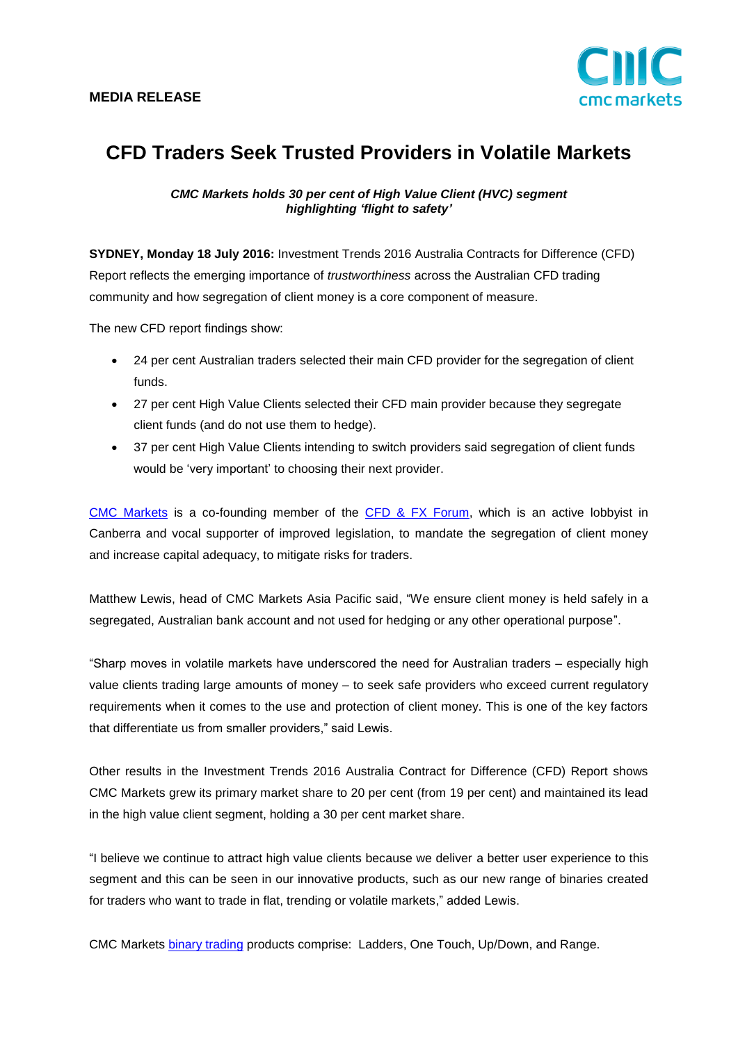

# **CFD Traders Seek Trusted Providers in Volatile Markets**

*CMC Markets holds 30 per cent of High Value Client (HVC) segment highlighting 'flight to safety'*

**SYDNEY, Monday 18 July 2016:** Investment Trends 2016 Australia Contracts for Difference (CFD) Report reflects the emerging importance of *trustworthiness* across the Australian CFD trading community and how segregation of client money is a core component of measure.

The new CFD report findings show:

- 24 per cent Australian traders selected their main CFD provider for the segregation of client funds.
- 27 per cent High Value Clients selected their CFD main provider because they segregate client funds (and do not use them to hedge).
- 37 per cent High Value Clients intending to switch providers said segregation of client funds would be 'very important' to choosing their next provider.

[CMC Markets](https://www.cmcmarkets.com/en-au/) is a co-founding member of the [CFD & FX Forum,](http://cfdfxforum.com.au/) which is an active lobbyist in Canberra and vocal supporter of improved legislation, to mandate the segregation of client money and increase capital adequacy, to mitigate risks for traders.

Matthew Lewis, head of CMC Markets Asia Pacific said, "We ensure client money is held safely in a segregated, Australian bank account and not used for hedging or any other operational purpose".

"Sharp moves in volatile markets have underscored the need for Australian traders – especially high value clients trading large amounts of money – to seek safe providers who exceed current regulatory requirements when it comes to the use and protection of client money. This is one of the key factors that differentiate us from smaller providers," said Lewis.

Other results in the Investment Trends 2016 Australia Contract for Difference (CFD) Report shows CMC Markets grew its primary market share to 20 per cent (from 19 per cent) and maintained its lead in the high value client segment, holding a 30 per cent market share.

"I believe we continue to attract high value clients because we deliver a better user experience to this segment and this can be seen in our innovative products, such as our new range of binaries created for traders who want to trade in flat, trending or volatile markets," added Lewis.

CMC Markets [binary trading](https://www.cmcmarkets.com/en-au/binary-trading-options) products comprise: Ladders, One Touch, Up/Down, and Range.